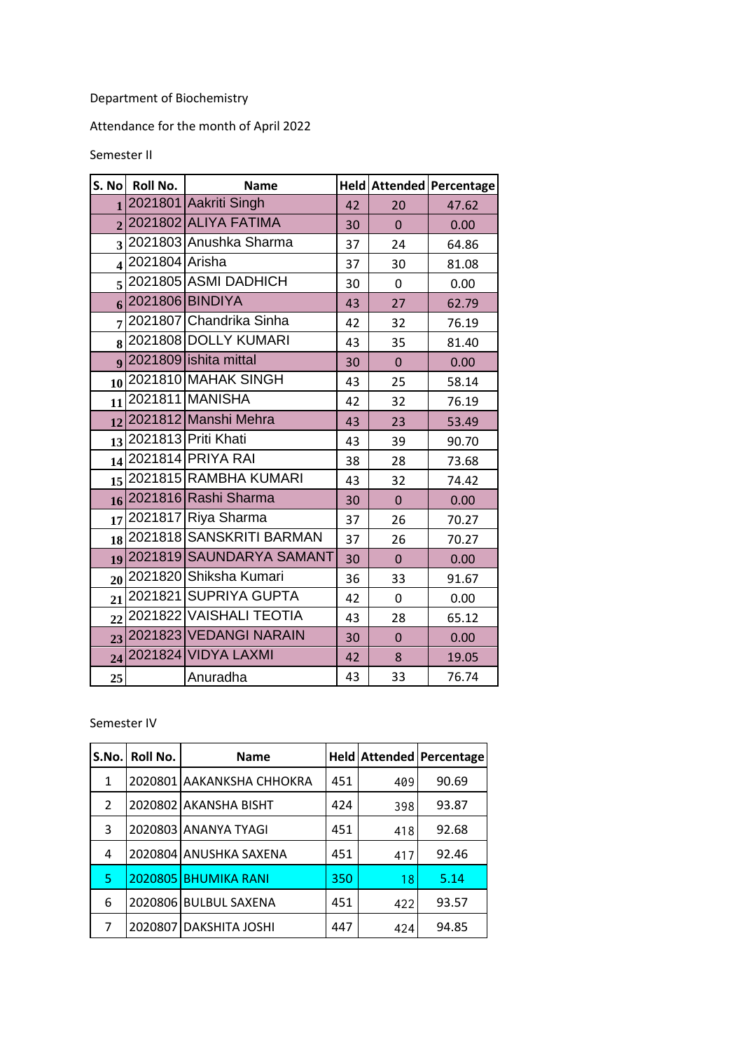## Department of Biochemistry

Attendance for the month of April 2022

## Semester II

| S. No                   | <b>Roll No.</b> | <b>Name</b>                 |    |             | Held Attended Percentage |
|-------------------------|-----------------|-----------------------------|----|-------------|--------------------------|
|                         |                 | $1$  2021801 Aakriti Singh  | 42 | 20          | 47.62                    |
|                         |                 | 2 2021802 ALIYA FATIMA      | 30 | $\mathbf 0$ | 0.00                     |
|                         |                 | 3 2021803 Anushka Sharma    | 37 | 24          | 64.86                    |
| $\overline{\mathbf{4}}$ | 2021804 Arisha  |                             | 37 | 30          | 81.08                    |
|                         |                 | $5 2021805 $ ASMI DADHICH   | 30 | 0           | 0.00                     |
| 6                       |                 | 2021806 BINDIYA             | 43 | 27          | 62.79                    |
| $\overline{7}$          |                 | 2021807 Chandrika Sinha     | 42 | 32          | 76.19                    |
| 8                       |                 | 2021808 DOLLY KUMARI        | 43 | 35          | 81.40                    |
|                         |                 | 9 2021809 ishita mittal     | 30 | $\mathbf 0$ | 0.00                     |
| 10                      |                 | 2021810 MAHAK SINGH         | 43 | 25          | 58.14                    |
| 11                      |                 | 2021811 MANISHA             | 42 | 32          | 76.19                    |
|                         |                 | 12 2021812 Manshi Mehra     | 43 | 23          | 53.49                    |
|                         |                 | 13 2021813 Priti Khati      | 43 | 39          | 90.70                    |
|                         |                 | 14 2021814 PRIYA RAI        | 38 | 28          | 73.68                    |
|                         |                 | 15 2021815 RAMBHA KUMARI    | 43 | 32          | 74.42                    |
|                         |                 | 16 2021816 Rashi Sharma     | 30 | $\pmb{0}$   | 0.00                     |
| 17                      |                 | 2021817 Riya Sharma         | 37 | 26          | 70.27                    |
|                         |                 | 18 2021818 SANSKRITI BARMAN | 37 | 26          | 70.27                    |
|                         |                 | 19 2021819 SAUNDARYA SAMANT | 30 | $\mathbf 0$ | 0.00                     |
|                         |                 | 20 2021820 Shiksha Kumari   | 36 | 33          | 91.67                    |
| 21                      |                 | 2021821 SUPRIYA GUPTA       | 42 | 0           | 0.00                     |
| 22                      |                 | 2021822 VAISHALI TEOTIA     | 43 | 28          | 65.12                    |
|                         |                 | 23 2021823 VEDANGI NARAIN   | 30 | $\mathbf 0$ | 0.00                     |
| 24                      |                 | 2021824 VIDYA LAXMI         | 42 | 8           | 19.05                    |
| 25                      |                 | Anuradha                    | 43 | 33          | 76.74                    |

Semester IV

| S.No.         | Roll No. | <b>Name</b>               |     |     | Held Attended Percentage |
|---------------|----------|---------------------------|-----|-----|--------------------------|
| 1             |          | 2020801 AAKANKSHA CHHOKRA | 451 | 409 | 90.69                    |
| $\mathcal{P}$ |          | 2020802 AKANSHA BISHT     | 424 | 398 | 93.87                    |
| 3             |          | 2020803 ANANYA TYAGI      | 451 | 418 | 92.68                    |
| 4             |          | 2020804 ANUSHKA SAXENA    | 451 | 417 | 92.46                    |
| 5             | 2020805  | <b>BHUMIKA RANI</b>       | 350 | 18  | 5.14                     |
| 6             |          | 2020806 BULBUL SAXENA     | 451 | 422 | 93.57                    |
| 7             |          | 2020807 DAKSHITA JOSHI    | 447 | 424 | 94.85                    |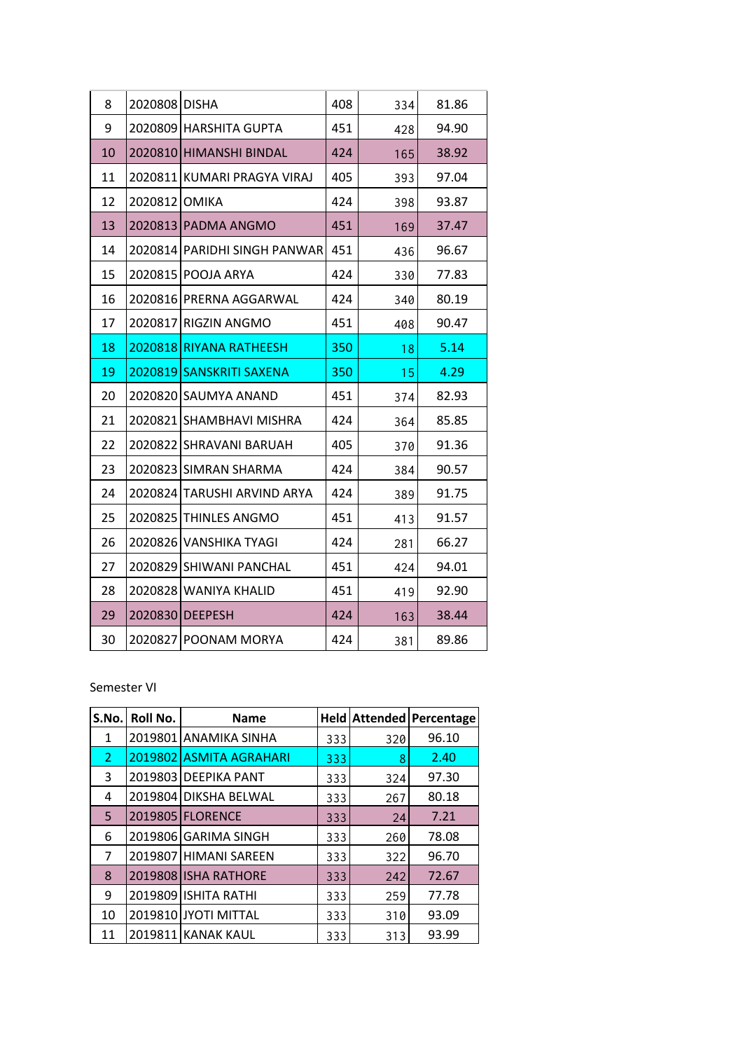| 8  | 2020808 DISHA |                              | 408 | 334 | 81.86 |
|----|---------------|------------------------------|-----|-----|-------|
| 9  |               | 2020809 HARSHITA GUPTA       | 451 | 428 | 94.90 |
| 10 |               | 2020810 HIMANSHI BINDAL      | 424 | 165 | 38.92 |
| 11 |               | 2020811 KUMARI PRAGYA VIRAJ  | 405 | 393 | 97.04 |
| 12 | 2020812 OMIKA |                              | 424 | 398 | 93.87 |
| 13 |               | 2020813 PADMA ANGMO          | 451 | 169 | 37.47 |
| 14 |               | 2020814 PARIDHI SINGH PANWAR | 451 | 436 | 96.67 |
| 15 |               | 2020815 POOJA ARYA           | 424 | 330 | 77.83 |
| 16 |               | 2020816 PRERNA AGGARWAL      | 424 | 340 | 80.19 |
| 17 |               | 2020817 RIGZIN ANGMO         | 451 | 408 | 90.47 |
| 18 |               | 2020818 RIYANA RATHEESH      | 350 | 18  | 5.14  |
|    | 2020819       |                              | 350 |     |       |
| 19 |               | <b>SANSKRITI SAXENA</b>      |     | 15  | 4.29  |
| 20 |               | 2020820 SAUMYA ANAND         | 451 | 374 | 82.93 |
| 21 | 2020821       | <b>SHAMBHAVI MISHRA</b>      | 424 | 364 | 85.85 |
| 22 | 2020822       | <b>SHRAVANI BARUAH</b>       | 405 | 370 | 91.36 |
| 23 |               | 2020823 SIMRAN SHARMA        | 424 | 384 | 90.57 |
| 24 |               | 2020824 TARUSHI ARVIND ARYA  | 424 | 389 | 91.75 |
| 25 |               | 2020825 THINLES ANGMO        | 451 | 413 | 91.57 |
| 26 |               | 2020826 VANSHIKA TYAGI       | 424 | 281 | 66.27 |
| 27 |               | 2020829 SHIWANI PANCHAL      | 451 | 424 | 94.01 |
| 28 |               | 2020828 WANIYA KHALID        | 451 | 419 | 92.90 |
| 29 |               | 2020830 DEEPESH              | 424 | 163 | 38.44 |

## Semester VI

| S.No.          | Roll No. | <b>Name</b>             |     |     | <b>Held Attended Percentage</b> |
|----------------|----------|-------------------------|-----|-----|---------------------------------|
| 1              |          | 2019801 ANAMIKA SINHA   | 333 | 320 | 96.10                           |
| $\overline{2}$ |          | 2019802 ASMITA AGRAHARI | 333 | 8   | 2.40                            |
| 3              |          | 2019803 DEEPIKA PANT    | 333 | 324 | 97.30                           |
| 4              |          | 2019804 DIKSHA BELWAL   | 333 | 267 | 80.18                           |
| 5              |          | 2019805 FLORENCE        | 333 | 24  | 7.21                            |
| 6              |          | 2019806 GARIMA SINGH    | 333 | 260 | 78.08                           |
| 7              |          | 2019807 HIMANI SAREEN   | 333 | 322 | 96.70                           |
| 8              |          | 2019808 ISHA RATHORE    | 333 | 242 | 72.67                           |
| 9              |          | 2019809 ISHITA RATHI    | 333 | 259 | 77.78                           |
| 10             |          | 2019810 JYOTI MITTAL    | 333 | 310 | 93.09                           |
| 11             |          | 2019811 KANAK KAUL      | 333 | 313 | 93.99                           |